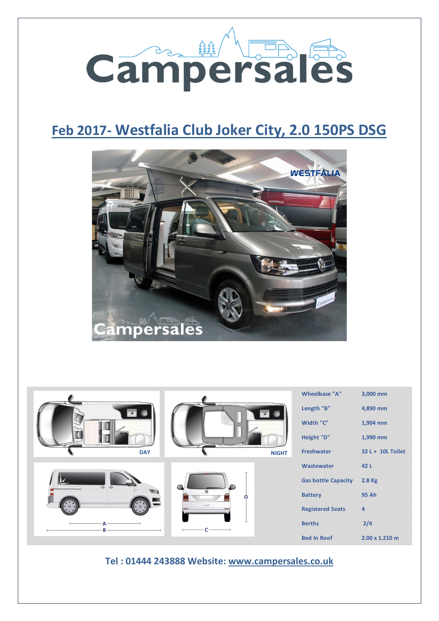

# **Feb 2017- Westfalia Club Joker City, 2.0 150PS DSG**



|             |               | Wheelbase "A"              | 3,000 mm          |
|-------------|---------------|----------------------------|-------------------|
|             |               | Length "B"                 | 4,890 mm          |
|             |               | Width "C"                  | 1,904 mm          |
|             |               | Height "D"                 | 1,990 mm          |
| <b>DAY</b>  | <b>NIGHT</b>  | Freshwater                 | 32 L + 10L Toilet |
|             |               | Wastewater                 | 42 L              |
| $\triangle$ | $\infty$<br>≏ | <b>Gas bottle Capacity</b> | 2.8 Kg            |
|             |               | <b>Battery</b>             | 95 Ah             |
|             | $\implies$    | <b>Registered Seats</b>    | $\overline{4}$    |
| Α           |               | <b>Berths</b>              | 2/4               |
|             |               | <b>Bed In Roof</b>         | 2.00 x 1.210 m    |

**Tel : 01444 243888 Website: [www.campersales.co.uk](http://www.campersales.co.uk/)**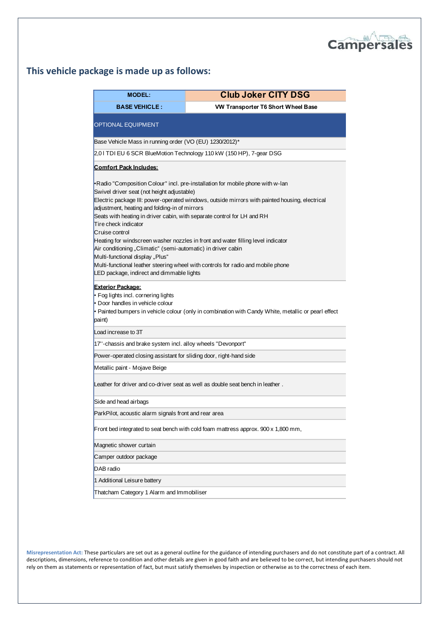

## **This vehicle package is made up as follows:**

| <b>MODEL:</b>                                                                                                                                                                                                                                                                                                                                                                                | <b>Club Joker CITY DSG</b>                                                                                                                                                                                                                                                                                                                               |
|----------------------------------------------------------------------------------------------------------------------------------------------------------------------------------------------------------------------------------------------------------------------------------------------------------------------------------------------------------------------------------------------|----------------------------------------------------------------------------------------------------------------------------------------------------------------------------------------------------------------------------------------------------------------------------------------------------------------------------------------------------------|
| <b>BASE VEHICLE:</b>                                                                                                                                                                                                                                                                                                                                                                         | VW Transporter T6 Short Wheel Base                                                                                                                                                                                                                                                                                                                       |
| OPTIONAL EQUIPMENT                                                                                                                                                                                                                                                                                                                                                                           |                                                                                                                                                                                                                                                                                                                                                          |
| Base Vehicle Mass in running order (VO (EU) 1230/2012)*                                                                                                                                                                                                                                                                                                                                      |                                                                                                                                                                                                                                                                                                                                                          |
|                                                                                                                                                                                                                                                                                                                                                                                              | 2,01 TDI EU 6 SCR BlueMotion Technology 110 kW (150 HP), 7-gear DSG                                                                                                                                                                                                                                                                                      |
| <b>Comfort Pack Includes:</b>                                                                                                                                                                                                                                                                                                                                                                |                                                                                                                                                                                                                                                                                                                                                          |
| Swivel driver seat (not height adjustable)<br>adjustment, heating and folding-in of mirrors<br>Seats with heating in driver cabin, with separate control for LH and RH<br>Tire check indicator<br>Cruise control<br>Air conditioning "Climatic" (semi-automatic) in driver cabin<br>Multi-functional display "Plus"<br>LED package, indirect and dimmable lights<br><b>Exterior Package:</b> | •Radio "Composition Colour" incl. pre-installation for mobile phone with w-lan<br>Electric package III: power-operated windows, outside mirrors with painted housing, electrical<br>Heating for windscreen washer nozzles in front and water filling level indicator<br>Multi-functional leather steering wheel with controls for radio and mobile phone |
| • Fog lights incl. cornering lights<br>Door handles in vehicle colour<br>paint)                                                                                                                                                                                                                                                                                                              | • Painted bumpers in vehicle colour (only in combination with Candy White, metallic or pearl effect                                                                                                                                                                                                                                                      |
| Load increase to 3T                                                                                                                                                                                                                                                                                                                                                                          |                                                                                                                                                                                                                                                                                                                                                          |
| 17"-chassis and brake system incl. alloy wheels "Devonport"                                                                                                                                                                                                                                                                                                                                  |                                                                                                                                                                                                                                                                                                                                                          |
| Power-operated closing assistant for sliding door, right-hand side                                                                                                                                                                                                                                                                                                                           |                                                                                                                                                                                                                                                                                                                                                          |
| Metallic paint - Mojave Beige                                                                                                                                                                                                                                                                                                                                                                |                                                                                                                                                                                                                                                                                                                                                          |
|                                                                                                                                                                                                                                                                                                                                                                                              | Leather for driver and co-driver seat as well as double seat bench in leather.                                                                                                                                                                                                                                                                           |
| Side and head airbags                                                                                                                                                                                                                                                                                                                                                                        |                                                                                                                                                                                                                                                                                                                                                          |
| ParkPilot, acoustic alarm signals front and rear area                                                                                                                                                                                                                                                                                                                                        |                                                                                                                                                                                                                                                                                                                                                          |
|                                                                                                                                                                                                                                                                                                                                                                                              | Front bed integrated to seat bench with cold foam mattress approx. 900 x 1,800 mm,                                                                                                                                                                                                                                                                       |
| Magnetic shower curtain                                                                                                                                                                                                                                                                                                                                                                      |                                                                                                                                                                                                                                                                                                                                                          |
| Camper outdoor package                                                                                                                                                                                                                                                                                                                                                                       |                                                                                                                                                                                                                                                                                                                                                          |
| DAB radio                                                                                                                                                                                                                                                                                                                                                                                    |                                                                                                                                                                                                                                                                                                                                                          |
| 1 Additional Leisure battery                                                                                                                                                                                                                                                                                                                                                                 |                                                                                                                                                                                                                                                                                                                                                          |
|                                                                                                                                                                                                                                                                                                                                                                                              |                                                                                                                                                                                                                                                                                                                                                          |

**Misrepresentation Act:** These particulars are set out as a general outline for the guidance of intending purchasers and do not constitute part of a contract. All descriptions, dimensions, reference to condition and other details are given in good faith and are believed to be correct, but intending purchasers should not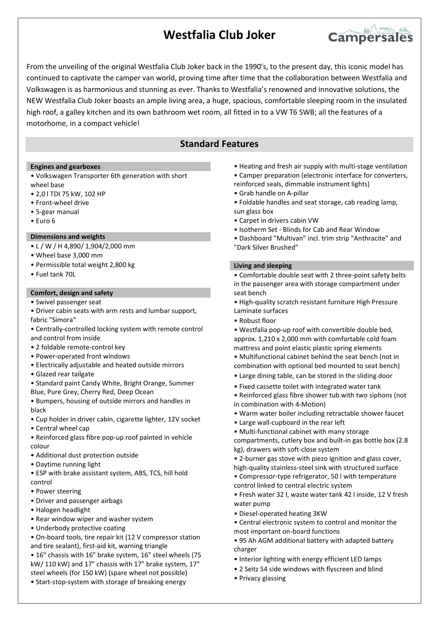## **Westfalia Club Joker**



From the unveiling of the original Westfalia Club Joker back in the 1990's, to the present day, this iconic model has continued to captivate the camper van world, proving time after time that the collaboration between Westfalia and Volkswagen is as harmonious and stunning as ever. Thanks to Westfalia's renowned and innovative solutions, the NEW Westfalia Club Joker boasts an ample living area, a huge, spacious, comfortable sleeping room in the insulated high roof, a galley kitchen and its own bathroom wet room, all fitted in to a VW T6 SWB; all the features of a motorhome, in a compact vehicle!

### **Standard Features**

#### **Engines and gearboxes**

- Volkswagen Transporter 6th generation with short wheel base
- 2,0 l TDI 75 kW, 102 HP
- Front-wheel drive
- 5-gear manual
- Euro 6

#### **Dimensions and weights**

- L / W / H 4,890/ 1,904/2,000 mm
- Wheel base 3,000 mm
- Permissible total weight 2,800 kg
- Fuel tank 70L

#### **Comfort, design and safety**

- Swivel passenger seat
- Driver cabin seats with arm rests and lumbar support, fabric "Simora"
- Centrally-controlled locking system with remote control and control from inside
- 2 foldable remote-control key
- Power-operated front windows
- Electrically adjustable and heated outside mirrors
- Glazed rear tailgate
- Standard paint Candy White, Bright Orange, Summer Blue, Pure Grey, Cherry Red, Deep Ocean

• Bumpers, housing of outside mirrors and handles in black

- Cup holder in driver cabin, cigarette lighter, 12V socket
- Central wheel cap
- Reinforced glass fibre pop-up roof painted in vehicle colour
- Additional dust protection outside
- Daytime running light
- ESP with brake assistant system, ABS, TCS, hill hold control
- Power steering
- Driver and passenger airbags
- Halogen headlight
- Rear window wiper and washer system
- Underbody protective coating
- On-board tools, tire repair kit (12 V compressor station and tire sealant), first-aid kit, warning triangle
- 16" chassis with 16" brake system, 16" steel wheels (75 kW/ 110 kW) and 17" chassis with 17" brake system, 17" steel wheels (for 150 kW) (spare wheel not possible)
- Start-stop-system with storage of breaking energy
- Heating and fresh air supply with multi-stage ventilation
- Camper preparation (electronic interface for converters,
- reinforced seals, dimmable instrument lights)
- Grab handle on A-pillar
- Foldable handles and seat storage, cab reading lamp, sun glass box
- Carpet in drivers cabin VW
- Isotherm Set Blinds for Cab and Rear Window
- Dashboard "Multivan" incl. trim strip "Anthracite" and "Dark Silver Brushed"

#### **Living and sleeping**

• Comfortable double seat with 2 three-point safety belts in the passenger area with storage compartment under seat bench

- High-quality scratch resistant furniture High Pressure Laminate surfaces
- Robust floor
- Westfalia pop-up roof with convertible double bed, approx. 1,210 x 2,000 mm with comfortable cold foam mattress and point elastic plastic spring elements
- Multifunctional cabinet behind the seat bench (not in combination with optional bed mounted to seat bench)
- Large dining table, can be stored in the sliding door
- Fixed cassette toilet with integrated water tank
- Reinforced glass fibre shower tub with two siphons (not in combination with 4-Motion)
- Warm water boiler including retractable shower faucet
- Large wall-cupboard in the rear left
- Multi-functional cabinet with many storage

compartments, cutlery box and built-in gas bottle box (2.8 kg), drawers with soft-close system

- 2-burner gas stove with piezo ignition and glass cover,
- high-quality stainless-steel sink with structured surface • Compressor-type refrigerator, 50 l with temperature
- control linked to central electric system • Fresh water 32 l, waste water tank 42 l inside, 12 V fresh water pump
- Diesel-operated heating 3KW
- Central electronic system to control and monitor the most important on-board functions
- 95 Ah AGM additional battery with adapted battery charger
- Interior lighting with energy efficient LED lamps
- 2 Seitz S4 side windows with flyscreen and blind
- Privacy glassing